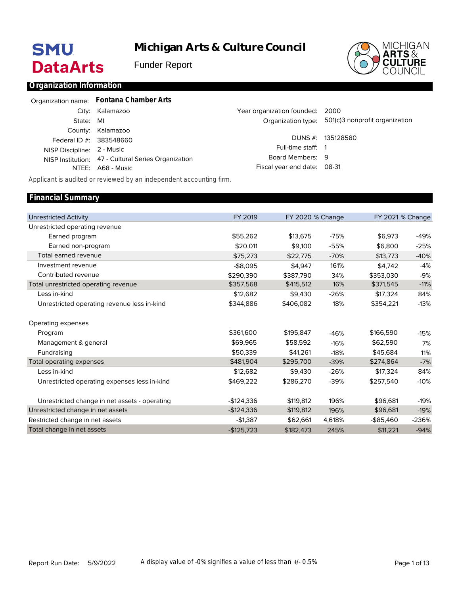# **SMU DataArts**

## **Michigan Arts & Culture Council**

Funder Report



#### **Organization Information**

|                            | Organization name: Fontana Chamber Arts             |                                 |                                                   |
|----------------------------|-----------------------------------------------------|---------------------------------|---------------------------------------------------|
|                            | City: Kalamazoo                                     | Year organization founded: 2000 |                                                   |
| State: MI                  |                                                     |                                 | Organization type: 501(c)3 nonprofit organization |
|                            | County: Kalamazoo                                   |                                 |                                                   |
| Federal ID #: 383548660    |                                                     |                                 | DUNS $#$ : 135128580                              |
| NISP Discipline: 2 - Music |                                                     | Full-time staff: 1              |                                                   |
|                            | NISP Institution: 47 - Cultural Series Organization | Board Members: 9                |                                                   |
|                            | NTEE: A68 - Music                                   | Fiscal year end date: 08-31     |                                                   |

*Applicant is audited or reviewed by an independent accounting firm.*

#### Unrestricted Activity Unrestricted operating revenue Earned program Earned non-program Total earned revenue Investment revenue Contributed revenue Total unrestricted operating revenue Less in-kind Unrestricted operating revenue less in-kind Operating expenses Program Management & general Fundraising Total operating expenses Less in-kind Unrestricted operating expenses less in-kind Unrestricted change in net assets - operating Unrestricted change in net assets Restricted change in net assets Total change in net assets FY 2019 \$55,262 \$20,011 \$75,273 -\$8,095 \$290,390 \$357,568 \$12,682 \$344,886 \$361,600 \$69,965 \$50,339 \$481,904 \$12,682 \$469,222 -\$124,336 -\$124,336 -\$1,387 -\$125,723 FY 2020 % Change \$13,675 \$9,100 \$22,775 \$4,947 \$387,790 \$415,512 \$9,430 \$406,082 \$195,847 \$58,592 \$41,261 \$295,700 \$9,430 \$286,270 \$119,812 \$119,812 \$62,661 \$182,473 -75% -55% -70% 161% 34% 16% -26% 18% -46% -16% -18% -39% -26% -39% 196% 196% 4,618% 245% FY 2021 % Change \$6,973 \$6,800 \$13,773 \$4,742 \$353,030 \$371,545 \$17,324 \$354,221 \$166,590 \$62,590 \$45,684 \$274,864 \$17,324 \$257,540 \$96,681 \$96,681 -\$85,460 \$11,221 -49% -25% -40% -4% -9% -11% 84% -13% -15% 7% 11% -7% 84% -10% -19% -19% -236% -94% **Financial Summary**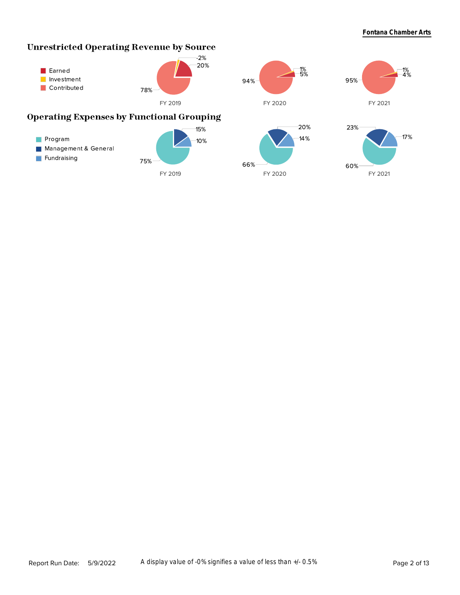### **Unrestricted Operating Revenue by Source**

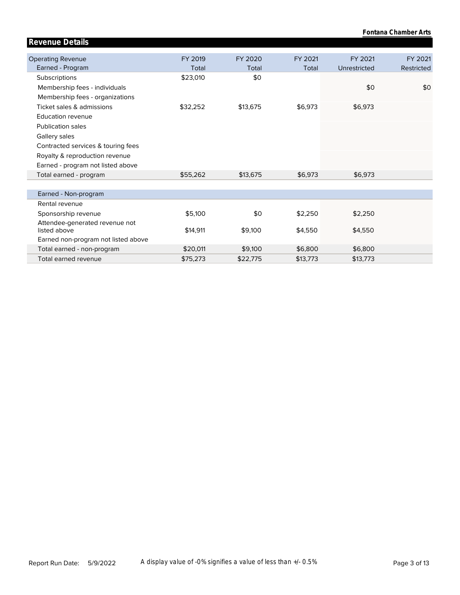| <b>Revenue Details</b>                         |          |          |          |              |            |
|------------------------------------------------|----------|----------|----------|--------------|------------|
| <b>Operating Revenue</b>                       | FY 2019  | FY 2020  | FY 2021  | FY 2021      | FY 2021    |
| Earned - Program                               | Total    | Total    | Total    | Unrestricted | Restricted |
|                                                |          |          |          |              |            |
| <b>Subscriptions</b>                           | \$23,010 | \$0      |          |              |            |
| Membership fees - individuals                  |          |          |          | \$0          | \$0        |
| Membership fees - organizations                |          |          |          |              |            |
| Ticket sales & admissions                      | \$32,252 | \$13,675 | \$6,973  | \$6,973      |            |
| Education revenue                              |          |          |          |              |            |
| <b>Publication sales</b>                       |          |          |          |              |            |
| Gallery sales                                  |          |          |          |              |            |
| Contracted services & touring fees             |          |          |          |              |            |
| Royalty & reproduction revenue                 |          |          |          |              |            |
| Earned - program not listed above              |          |          |          |              |            |
| Total earned - program                         | \$55,262 | \$13,675 | \$6,973  | \$6,973      |            |
|                                                |          |          |          |              |            |
| Earned - Non-program                           |          |          |          |              |            |
| Rental revenue                                 |          |          |          |              |            |
| Sponsorship revenue                            | \$5,100  | \$0      | \$2,250  | \$2,250      |            |
| Attendee-generated revenue not<br>listed above | \$14,911 | \$9,100  | \$4,550  | \$4,550      |            |
| Earned non-program not listed above            |          |          |          |              |            |
| Total earned - non-program                     | \$20,011 | \$9,100  | \$6,800  | \$6,800      |            |
| Total earned revenue                           | \$75,273 | \$22,775 | \$13,773 | \$13,773     |            |

**Fontana Chamber Arts**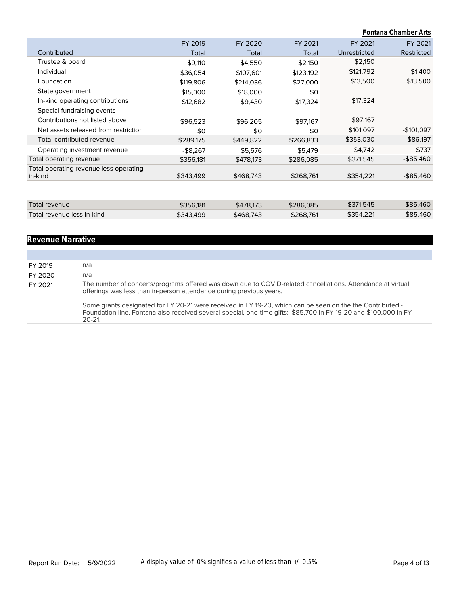|                                        |           |           |           | Fontana Chamber Arts |              |  |  |  |
|----------------------------------------|-----------|-----------|-----------|----------------------|--------------|--|--|--|
|                                        | FY 2019   | FY 2020   | FY 2021   | FY 2021              | FY 2021      |  |  |  |
| Contributed                            | Total     | Total     | Total     | Unrestricted         | Restricted   |  |  |  |
| Trustee & board                        | \$9,110   | \$4,550   | \$2,150   | \$2,150              |              |  |  |  |
| Individual                             | \$36,054  | \$107,601 | \$123,192 | \$121,792            | \$1,400      |  |  |  |
| Foundation                             | \$119,806 | \$214,036 | \$27,000  | \$13,500             | \$13,500     |  |  |  |
| State government                       | \$15,000  | \$18,000  | \$0       |                      |              |  |  |  |
| In-kind operating contributions        | \$12,682  | \$9,430   | \$17,324  | \$17,324             |              |  |  |  |
| Special fundraising events             |           |           |           |                      |              |  |  |  |
| Contributions not listed above         | \$96,523  | \$96,205  | \$97,167  | \$97,167             |              |  |  |  |
| Net assets released from restriction   | \$0       | \$0       | \$0       | \$101,097            | -\$101,097   |  |  |  |
| Total contributed revenue              | \$289,175 | \$449,822 | \$266,833 | \$353,030            | -\$86,197    |  |  |  |
| Operating investment revenue           | $-$8,267$ | \$5,576   | \$5,479   | \$4,742              | \$737        |  |  |  |
| Total operating revenue                | \$356,181 | \$478,173 | \$286,085 | \$371,545            | $-$ \$85,460 |  |  |  |
| Total operating revenue less operating |           |           |           |                      |              |  |  |  |
| in-kind                                | \$343,499 | \$468,743 | \$268,761 | \$354,221            | $-$ \$85,460 |  |  |  |
|                                        |           |           |           |                      |              |  |  |  |
| Total revenue                          | \$356,181 | \$478,173 | \$286,085 | \$371,545            | $-$ \$85,460 |  |  |  |
| Total revenue less in-kind             | \$343,499 | \$468,743 | \$268,761 | \$354,221            | $-$ \$85,460 |  |  |  |
|                                        |           |           |           |                      |              |  |  |  |

### **Revenue Narrative**

| FY 2019 | n/a                                                                                                                                                                                                                                          |
|---------|----------------------------------------------------------------------------------------------------------------------------------------------------------------------------------------------------------------------------------------------|
| FY 2020 | n/a                                                                                                                                                                                                                                          |
| FY 2021 | The number of concerts/programs offered was down due to COVID-related cancellations. Attendance at virtual<br>offerings was less than in-person attendance during previous years.                                                            |
|         | Some grants designated for FY 20-21 were received in FY 19-20, which can be seen on the the Contributed -<br>Foundation line. Fontana also received several special, one-time gifts: \$85,700 in FY 19-20 and \$100,000 in FY<br>$20 - 21$ . |
|         |                                                                                                                                                                                                                                              |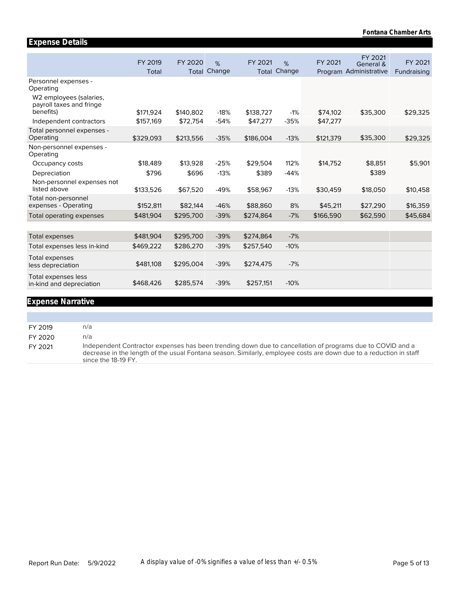|                                                     | FY 2019   | FY 2020   | %<br>Change | FY 2021   | %<br>Change | FY 2021   | FY 2021<br>General &   | FY 2021     |
|-----------------------------------------------------|-----------|-----------|-------------|-----------|-------------|-----------|------------------------|-------------|
|                                                     | Total     | Total     |             | Total     |             |           | Program Administrative | Fundraising |
| Personnel expenses -<br>Operating                   |           |           |             |           |             |           |                        |             |
| W2 employees (salaries,<br>payroll taxes and fringe |           |           |             |           |             |           |                        |             |
| benefits)                                           | \$171,924 | \$140.802 | $-18%$      | \$138,727 | $-1%$       | \$74,102  | \$35,300               | \$29,325    |
| Independent contractors                             | \$157,169 | \$72,754  | $-54%$      | \$47,277  | $-35%$      | \$47,277  |                        |             |
| Total personnel expenses -                          |           |           |             |           |             |           |                        |             |
| Operating                                           | \$329,093 | \$213,556 | $-35%$      | \$186,004 | $-13%$      | \$121,379 | \$35,300               | \$29,325    |
| Non-personnel expenses -<br>Operating               |           |           |             |           |             |           |                        |             |
| Occupancy costs                                     | \$18,489  | \$13,928  | $-25%$      | \$29,504  | 112%        | \$14,752  | \$8,851                | \$5,901     |
| Depreciation                                        | \$796     | \$696     | $-13%$      | \$389     | $-44%$      |           | \$389                  |             |
| Non-personnel expenses not                          |           |           |             |           |             |           |                        |             |
| listed above                                        | \$133,526 | \$67,520  | $-49%$      | \$58,967  | $-13%$      | \$30,459  | \$18,050               | \$10,458    |
| Total non-personnel<br>expenses - Operating         | \$152,811 | \$82,144  | $-46%$      | \$88,860  | 8%          | \$45,211  | \$27,290               | \$16,359    |
|                                                     |           |           |             |           |             |           |                        |             |
| Total operating expenses                            | \$481,904 | \$295,700 | $-39%$      | \$274,864 | $-7%$       | \$166,590 | \$62,590               | \$45,684    |
|                                                     |           |           |             |           |             |           |                        |             |
| <b>Total expenses</b>                               | \$481,904 | \$295,700 | $-39%$      | \$274,864 | $-7%$       |           |                        |             |
| Total expenses less in-kind                         | \$469,222 | \$286,270 | $-39%$      | \$257,540 | $-10%$      |           |                        |             |
| <b>Total expenses</b><br>less depreciation          | \$481,108 | \$295,004 | $-39%$      | \$274,475 | $-7%$       |           |                        |             |
| Total expenses less<br>in-kind and depreciation     | \$468,426 | \$285,574 | $-39%$      | \$257,151 | $-10%$      |           |                        |             |

#### **Expense Narrative**

**Expense Details**

FY 2019 n/a FY 2020 n/a FY 2021 Independent Contractor expenses has been trending down due to cancellation of programs due to COVID and a decrease in the length of the usual Fontana season. Similarly, employee costs are down due to a reduction in staff since the 18-19 FY.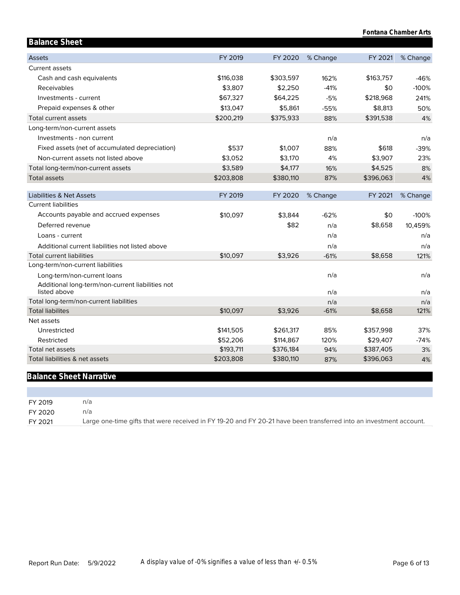| Fontana Chamber Arts                                             |           |           |          |           |          |
|------------------------------------------------------------------|-----------|-----------|----------|-----------|----------|
| <b>Balance Sheet</b>                                             |           |           |          |           |          |
| <b>Assets</b>                                                    | FY 2019   | FY 2020   | % Change | FY 2021   | % Change |
| <b>Current assets</b>                                            |           |           |          |           |          |
| Cash and cash equivalents                                        | \$116,038 | \$303,597 | 162%     | \$163,757 | $-46%$   |
| Receivables                                                      | \$3,807   | \$2,250   | $-41%$   | \$0       | $-100%$  |
| Investments - current                                            | \$67,327  | \$64,225  | $-5%$    | \$218,968 | 241%     |
| Prepaid expenses & other                                         | \$13,047  | \$5,861   | $-55%$   | \$8,813   | 50%      |
| Total current assets                                             | \$200,219 | \$375,933 | 88%      | \$391,538 | 4%       |
| Long-term/non-current assets                                     |           |           |          |           |          |
| Investments - non current                                        |           |           | n/a      |           | n/a      |
| Fixed assets (net of accumulated depreciation)                   | \$537     | \$1,007   | 88%      | \$618     | $-39%$   |
| Non-current assets not listed above                              | \$3,052   | \$3,170   | 4%       | \$3,907   | 23%      |
| Total long-term/non-current assets                               | \$3,589   | \$4,177   | 16%      | \$4,525   | 8%       |
| <b>Total assets</b>                                              | \$203,808 | \$380,110 | 87%      | \$396,063 | 4%       |
| Liabilities & Net Assets                                         | FY 2019   | FY 2020   | % Change | FY 2021   | % Change |
| <b>Current liabilities</b>                                       |           |           |          |           |          |
| Accounts payable and accrued expenses                            | \$10,097  | \$3,844   | $-62%$   | \$0       | $-100%$  |
| Deferred revenue                                                 |           | \$82      | n/a      | \$8,658   | 10,459%  |
| Loans - current                                                  |           |           | n/a      |           | n/a      |
| Additional current liabilities not listed above                  |           |           | n/a      |           | n/a      |
| <b>Total current liabilities</b>                                 | \$10,097  | \$3,926   | $-61%$   | \$8,658   | 121%     |
| Long-term/non-current liabilities                                |           |           |          |           |          |
| Long-term/non-current loans                                      |           |           | n/a      |           | n/a      |
| Additional long-term/non-current liabilities not<br>listed above |           |           | n/a      |           | n/a      |
| Total long-term/non-current liabilities                          |           |           | n/a      |           | n/a      |
| <b>Total liabilites</b>                                          | \$10,097  | \$3,926   | $-61%$   | \$8,658   | 121%     |
| Net assets                                                       |           |           |          |           |          |
| Unrestricted                                                     | \$141,505 | \$261,317 | 85%      | \$357,998 | 37%      |
| Restricted                                                       | \$52,206  | \$114,867 | 120%     | \$29,407  | $-74%$   |
| Total net assets                                                 | \$193,711 | \$376,184 | 94%      | \$387,405 | 3%       |
| Total liabilities & net assets                                   | \$203,808 | \$380,110 | 87%      | \$396,063 | 4%       |

### **Balance Sheet Narrative**

| FY 2019 | n/a                                                                                                                |
|---------|--------------------------------------------------------------------------------------------------------------------|
| FY 2020 | n/al                                                                                                               |
| FY 2021 | Large one-time gifts that were received in FY 19-20 and FY 20-21 have been transferred into an investment account. |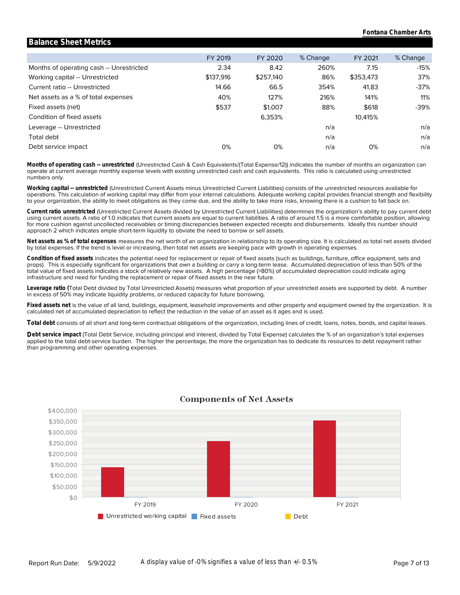|                                          | FY 2019   | FY 2020   | % Change | FY 2021   | % Change |
|------------------------------------------|-----------|-----------|----------|-----------|----------|
| Months of operating cash -- Unrestricted | 2.34      | 8.42      | 260%     | 7.15      | $-15%$   |
| Working capital -- Unrestricted          | \$137,916 | \$257,140 | 86%      | \$353,473 | 37%      |
| Current ratio -- Unrestricted            | 14.66     | 66.5      | 354%     | 41.83     | -37%     |
| Net assets as a % of total expenses      | 40%       | 127%      | 216%     | 141%      | 11%      |
| Fixed assets (net)                       | \$537     | \$1,007   | 88%      | \$618     | -39%     |
| Condition of fixed assets                |           | 6,353%    |          | 10.415%   |          |
| Leverage -- Unrestricted                 |           |           | n/a      |           | n/a      |
| Total debt                               |           |           | n/a      |           | n/a      |
| Debt service impact                      | 0%        | 0%        | n/a      | 0%        | n/a      |

**Balance Sheet Metrics**

numbers only. operate at current average monthly expense levels with existing unrestricted cash and cash equivalents. This ratio is calculated using unrestricted **Months of operating cash -- unrestricted** (Unrestricted Cash & Cash Equivalents/(Total Expense/12)) indicates the number of months an organization can

to your organization, the ability to meet obligations as they come due, and the ability to take more risks, knowing there is a cushion to fall back on. operations. This calculation of working capital may differ from your internal calculations. Adequate working capital provides financial strength and flexibility **Working capital -- unrestricted** (Unrestricted Current Assets minus Unrestricted Current Liabilities) consists of the unrestricted resources available for

approach 2 which indicates ample short-term liquidity to obviate the need to borrow or sell assets. for more cushion against uncollected receivables or timing discrepancies between expected receipts and disbursements. Ideally this number should using current assets. A ratio of 1.0 indicates that current assets are equal to current liabilities. A ratio of around 1.5 is a more comfortable position, allowing **Current ratio unrestricted** (Unrestricted Current Assets divided by Unrestricted Current Liabilities) determines the organization's ability to pay current debt

by total expenses. If the trend is level or increasing, then total net assets are keeping pace with growth in operating expenses. **Net assets as % of total expenses** measures the net worth of an organization in relationship to its operating size. It is calculated as total net assets divided

infrastructure and need for funding the replacement or repair of fixed assets in the near future. total value of fixed assets indicates a stock of relatively new assets. A high percentage (>80%) of accumulated depreciation could indicate aging props). This is especially significant for organizations that own a building or carry a long-term lease. Accumulated depreciation of less than 50% of the **Condition of fixed assets** indicates the potential need for replacement or repair of fixed assets (such as buildings, furniture, office equipment, sets and

in excess of 50% may indicate liquidity problems, or reduced capacity for future borrowing. **Leverage ratio (**Total Debt divided by Total Unrestricted Assets) measures what proportion of your unrestricted assets are supported by debt. A number

calculated net of accumulated depreciation to reflect the reduction in the value of an asset as it ages and is used. **Fixed assets net** is the value of all land, buildings, equipment, leasehold improvements and other property and equipment owned by the organization. It is

**Total debt** consists of all short and long-term contractual obligations of the organization, including lines of credit, loans, notes, bonds, and capital leases.

than programming and other operating expenses. applied to the total debt-service burden. The higher the percentage, the more the organization has to dedicate its resources to debt repayment rather Debt service impact (Total Debt Service, including principal and interest, divided by Total Expense) calculates the % of an organization's total expenses



#### **Components of Net Assets**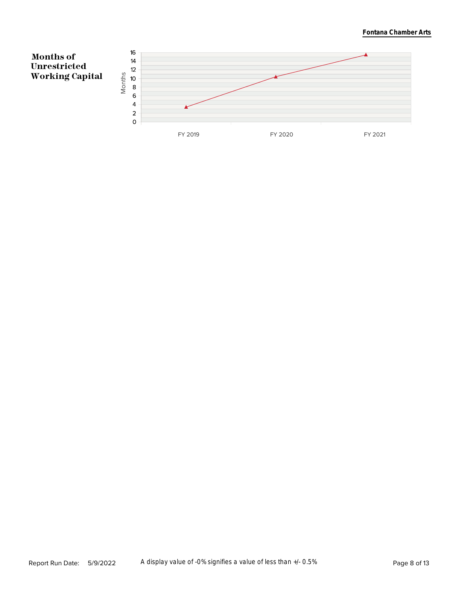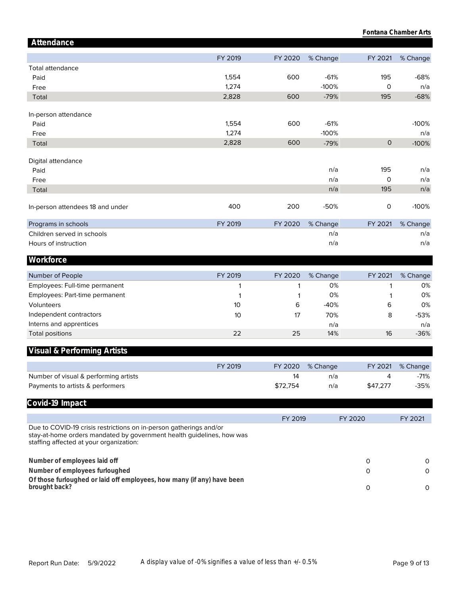|                                                                                                                                                                                        |         |          |          |                     | Fontana Chamber Arts |
|----------------------------------------------------------------------------------------------------------------------------------------------------------------------------------------|---------|----------|----------|---------------------|----------------------|
| Attendance                                                                                                                                                                             |         |          |          |                     |                      |
|                                                                                                                                                                                        | FY 2019 | FY 2020  | % Change | FY 2021             | % Change             |
| <b>Total attendance</b>                                                                                                                                                                |         |          |          |                     |                      |
| Paid                                                                                                                                                                                   | 1,554   | 600      | $-61%$   | 195                 | $-68%$               |
| Free                                                                                                                                                                                   | 1,274   |          | $-100%$  | $\mathsf O$         | n/a                  |
| Total                                                                                                                                                                                  | 2,828   | 600      | $-79%$   | 195                 | $-68%$               |
| In-person attendance                                                                                                                                                                   |         |          |          |                     |                      |
| Paid                                                                                                                                                                                   | 1,554   | 600      | $-61%$   |                     | $-100%$              |
| Free                                                                                                                                                                                   | 1,274   |          | $-100%$  |                     | n/a                  |
| Total                                                                                                                                                                                  | 2,828   | 600      | $-79%$   | $\mathsf{O}$        | $-100%$              |
| Digital attendance                                                                                                                                                                     |         |          |          |                     |                      |
| Paid                                                                                                                                                                                   |         |          | n/a      | 195                 | n/a                  |
| Free                                                                                                                                                                                   |         |          | n/a      | O                   | n/a                  |
| Total                                                                                                                                                                                  |         |          | n/a      | 195                 | n/a                  |
| In-person attendees 18 and under                                                                                                                                                       | 400     | 200      | $-50%$   | $\mathsf{O}\xspace$ | $-100%$              |
| Programs in schools                                                                                                                                                                    | FY 2019 | FY 2020  | % Change | FY 2021             | % Change             |
| Children served in schools                                                                                                                                                             |         |          | n/a      |                     | n/a                  |
| Hours of instruction                                                                                                                                                                   |         |          | n/a      |                     | n/a                  |
| Workforce                                                                                                                                                                              |         |          |          |                     |                      |
| Number of People                                                                                                                                                                       | FY 2019 | FY 2020  | % Change | FY 2021             | % Change             |
| Employees: Full-time permanent                                                                                                                                                         | 1       | 1        | 0%       | 1                   | 0%                   |
| Employees: Part-time permanent                                                                                                                                                         | 1       | 1        | 0%       | 1                   | 0%                   |
| Volunteers                                                                                                                                                                             | 10      | 6        | $-40%$   | 6                   | 0%                   |
| Independent contractors                                                                                                                                                                | 10      | 17       | 70%      | 8                   | $-53%$               |
| Interns and apprentices                                                                                                                                                                |         |          | n/a      |                     | n/a                  |
| <b>Total positions</b>                                                                                                                                                                 | 22      | 25       | 14%      | 16                  | $-36%$               |
| <b>Visual &amp; Performing Artists</b>                                                                                                                                                 |         |          |          |                     |                      |
|                                                                                                                                                                                        | FY 2019 | FY 2020  | % Change | FY 2021             | % Change             |
| Number of visual & performing artists                                                                                                                                                  |         | 14       | n/a      | 4                   | $-71%$               |
| Payments to artists & performers                                                                                                                                                       |         | \$72,754 | n/a      | \$47,277            | $-35%$               |
| Covid-19 Impact                                                                                                                                                                        |         |          |          |                     |                      |
|                                                                                                                                                                                        |         | FY 2019  |          | FY 2020             | FY 2021              |
| Due to COVID-19 crisis restrictions on in-person gatherings and/or<br>stay-at-home orders mandated by government health guidelines, how was<br>staffing affected at your organization: |         |          |          |                     |                      |
| Number of employees laid off                                                                                                                                                           |         |          |          | 0                   | 0                    |
|                                                                                                                                                                                        |         |          |          |                     |                      |
| Number of employees furloughed                                                                                                                                                         |         |          |          | 0                   | 0                    |
| Of those furloughed or laid off employees, how many (if any) have been<br>brought back?                                                                                                |         |          |          | 0                   | 0                    |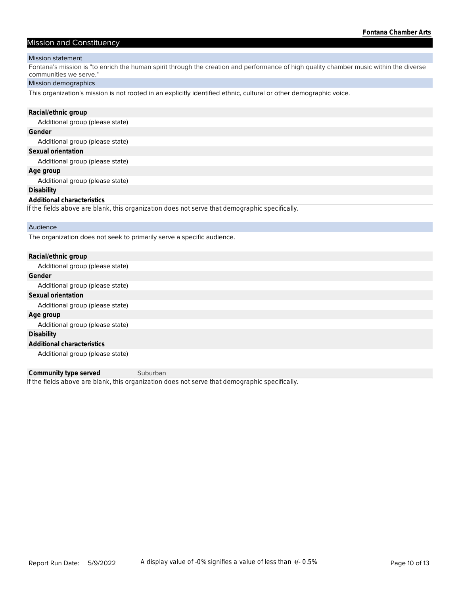#### Mission and Constituency

#### Mission statement

Fontana's mission is "to enrich the human spirit through the creation and performance of high quality chamber music within the diverse communities we serve."

#### Mission demographics

This organization's mission is not rooted in an explicitly identified ethnic, cultural or other demographic voice.

#### **Racial/ethnic group**

Additional group (please state)

#### **Gender**

Additional group (please state)

#### **Sexual orientation**

Additional group (please state)

#### **Age group**

Additional group (please state)

#### **Disability**

#### **Additional characteristics**

*If the fields above are blank, this organization does not serve that demographic specifically.*

#### Audience

The organization does not seek to primarily serve a specific audience.

| Racial/ethnic group             |
|---------------------------------|
| Additional group (please state) |
| Gender                          |
| Additional group (please state) |
| Sexual orientation              |
| Additional group (please state) |
| Age group                       |
| Additional group (please state) |
| Disability                      |
| Additional characteristics      |
| Additional group (please state) |

*If the fields above are blank, this organization does not serve that demographic specifically.* **Community type served** Suburban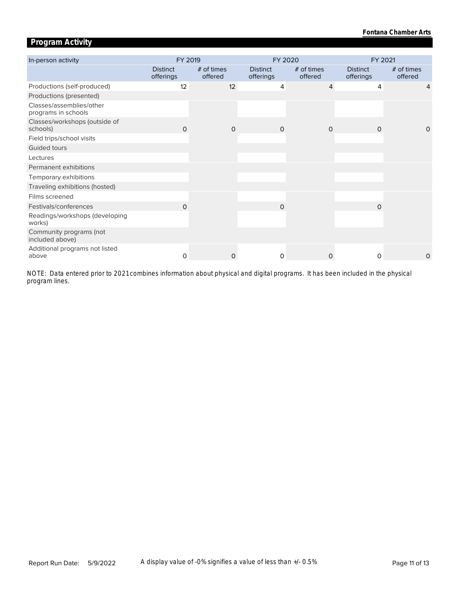### **Program Activity**

| In-person activity                              | FY 2019                      |                       | FY 2020                      |                       | FY 2021                      |                       |  |
|-------------------------------------------------|------------------------------|-----------------------|------------------------------|-----------------------|------------------------------|-----------------------|--|
|                                                 | <b>Distinct</b><br>offerings | # of times<br>offered | <b>Distinct</b><br>offerings | # of times<br>offered | <b>Distinct</b><br>offerings | # of times<br>offered |  |
| Productions (self-produced)                     | 12                           | 12                    | 4                            | $\overline{4}$        | 4                            | 4                     |  |
| Productions (presented)                         |                              |                       |                              |                       |                              |                       |  |
| Classes/assemblies/other<br>programs in schools |                              |                       |                              |                       |                              |                       |  |
| Classes/workshops (outside of<br>schools)       | $\Omega$                     | $\Omega$              | $\Omega$                     | $\Omega$              | $\Omega$                     | $\Omega$              |  |
| Field trips/school visits                       |                              |                       |                              |                       |                              |                       |  |
| Guided tours                                    |                              |                       |                              |                       |                              |                       |  |
| Lectures                                        |                              |                       |                              |                       |                              |                       |  |
| Permanent exhibitions                           |                              |                       |                              |                       |                              |                       |  |
| Temporary exhibitions                           |                              |                       |                              |                       |                              |                       |  |
| Traveling exhibitions (hosted)                  |                              |                       |                              |                       |                              |                       |  |
| Films screened                                  |                              |                       |                              |                       |                              |                       |  |
| Festivals/conferences                           | $\Omega$                     |                       | $\Omega$                     |                       | $\Omega$                     |                       |  |
| Readings/workshops (developing<br>works)        |                              |                       |                              |                       |                              |                       |  |
| Community programs (not<br>included above)      |                              |                       |                              |                       |                              |                       |  |
| Additional programs not listed<br>above         | $\Omega$                     | $\mathbf 0$           | $\Omega$                     | 0                     | 0                            | 0                     |  |

*program lines. NOTE: Data entered prior to 2021 combines information about physical and digital programs. It has been included in the physical*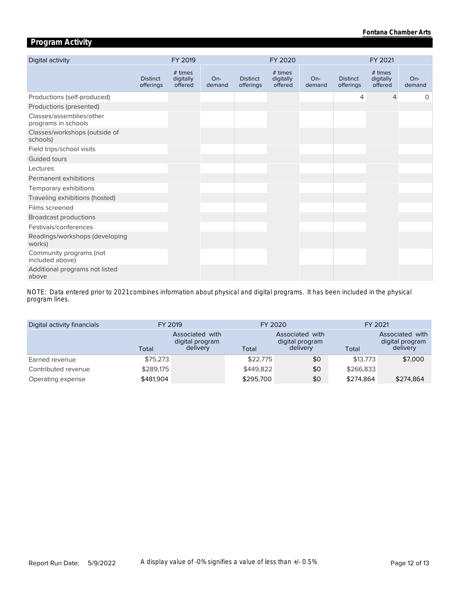### **Program Activity**

| Digital activity                                |                              | FY 2019                         |                 |                              | FY 2020                         |               |                              | FY 2021                         |               |
|-------------------------------------------------|------------------------------|---------------------------------|-----------------|------------------------------|---------------------------------|---------------|------------------------------|---------------------------------|---------------|
|                                                 | <b>Distinct</b><br>offerings | # times<br>digitally<br>offered | $On-$<br>demand | <b>Distinct</b><br>offerings | # times<br>digitally<br>offered | On-<br>demand | <b>Distinct</b><br>offerings | # times<br>digitally<br>offered | On-<br>demand |
| Productions (self-produced)                     |                              |                                 |                 |                              |                                 |               | 4                            | $\overline{4}$                  | 0             |
| Productions (presented)                         |                              |                                 |                 |                              |                                 |               |                              |                                 |               |
| Classes/assemblies/other<br>programs in schools |                              |                                 |                 |                              |                                 |               |                              |                                 |               |
| Classes/workshops (outside of<br>schools)       |                              |                                 |                 |                              |                                 |               |                              |                                 |               |
| Field trips/school visits                       |                              |                                 |                 |                              |                                 |               |                              |                                 |               |
| Guided tours                                    |                              |                                 |                 |                              |                                 |               |                              |                                 |               |
| Lectures                                        |                              |                                 |                 |                              |                                 |               |                              |                                 |               |
| Permanent exhibitions                           |                              |                                 |                 |                              |                                 |               |                              |                                 |               |
| Temporary exhibitions                           |                              |                                 |                 |                              |                                 |               |                              |                                 |               |
| Traveling exhibitions (hosted)                  |                              |                                 |                 |                              |                                 |               |                              |                                 |               |
| Films screened                                  |                              |                                 |                 |                              |                                 |               |                              |                                 |               |
| <b>Broadcast productions</b>                    |                              |                                 |                 |                              |                                 |               |                              |                                 |               |
| Festivals/conferences                           |                              |                                 |                 |                              |                                 |               |                              |                                 |               |
| Readings/workshops (developing<br>works)        |                              |                                 |                 |                              |                                 |               |                              |                                 |               |
| Community programs (not<br>included above)      |                              |                                 |                 |                              |                                 |               |                              |                                 |               |
| Additional programs not listed<br>above         |                              |                                 |                 |                              |                                 |               |                              |                                 |               |

*program lines. NOTE: Data entered prior to 2021 combines information about physical and digital programs. It has been included in the physical* 

| Digital activity financials | FY 2019   |                                                | FY 2020   |                                                | FY 2021   |                                                |
|-----------------------------|-----------|------------------------------------------------|-----------|------------------------------------------------|-----------|------------------------------------------------|
|                             | Total     | Associated with<br>digital program<br>delivery | Total     | Associated with<br>digital program<br>delivery | Total     | Associated with<br>digital program<br>delivery |
| Earned revenue              | \$75,273  |                                                | \$22,775  | \$0                                            | \$13,773  | \$7,000                                        |
| Contributed revenue         | \$289,175 |                                                | \$449,822 | \$0                                            | \$266,833 |                                                |
| Operating expense           | \$481,904 |                                                | \$295,700 | \$0                                            | \$274.864 | \$274,864                                      |